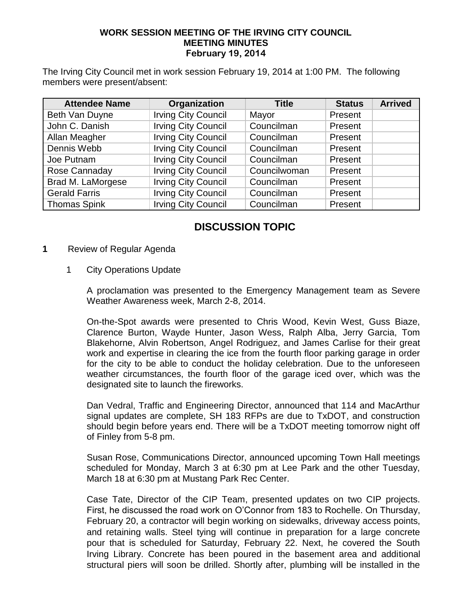## **WORK SESSION MEETING OF THE IRVING CITY COUNCIL MEETING MINUTES February 19, 2014**

The Irving City Council met in work session February 19, 2014 at 1:00 PM. The following members were present/absent:

| <b>Attendee Name</b> | Organization               | <b>Title</b> | <b>Status</b> | <b>Arrived</b> |
|----------------------|----------------------------|--------------|---------------|----------------|
| Beth Van Duyne       | <b>Irving City Council</b> | Mayor        | Present       |                |
| John C. Danish       | <b>Irving City Council</b> | Councilman   | Present       |                |
| Allan Meagher        | <b>Irving City Council</b> | Councilman   | Present       |                |
| Dennis Webb          | <b>Irving City Council</b> | Councilman   | Present       |                |
| Joe Putnam           | <b>Irving City Council</b> | Councilman   | Present       |                |
| Rose Cannaday        | <b>Irving City Council</b> | Councilwoman | Present       |                |
| Brad M. LaMorgese    | <b>Irving City Council</b> | Councilman   | Present       |                |
| <b>Gerald Farris</b> | <b>Irving City Council</b> | Councilman   | Present       |                |
| <b>Thomas Spink</b>  | <b>Irving City Council</b> | Councilman   | Present       |                |

## **DISCUSSION TOPIC**

- **1** Review of Regular Agenda
	- 1 City Operations Update

A proclamation was presented to the Emergency Management team as Severe Weather Awareness week, March 2-8, 2014.

On-the-Spot awards were presented to Chris Wood, Kevin West, Guss Biaze, Clarence Burton, Wayde Hunter, Jason Wess, Ralph Alba, Jerry Garcia, Tom Blakehorne, Alvin Robertson, Angel Rodriguez, and James Carlise for their great work and expertise in clearing the ice from the fourth floor parking garage in order for the city to be able to conduct the holiday celebration. Due to the unforeseen weather circumstances, the fourth floor of the garage iced over, which was the designated site to launch the fireworks.

Dan Vedral, Traffic and Engineering Director, announced that 114 and MacArthur signal updates are complete, SH 183 RFPs are due to TxDOT, and construction should begin before years end. There will be a TxDOT meeting tomorrow night off of Finley from 5-8 pm.

Susan Rose, Communications Director, announced upcoming Town Hall meetings scheduled for Monday, March 3 at 6:30 pm at Lee Park and the other Tuesday, March 18 at 6:30 pm at Mustang Park Rec Center.

Case Tate, Director of the CIP Team, presented updates on two CIP projects. First, he discussed the road work on O'Connor from 183 to Rochelle. On Thursday, February 20, a contractor will begin working on sidewalks, driveway access points, and retaining walls. Steel tying will continue in preparation for a large concrete pour that is scheduled for Saturday, February 22. Next, he covered the South Irving Library. Concrete has been poured in the basement area and additional structural piers will soon be drilled. Shortly after, plumbing will be installed in the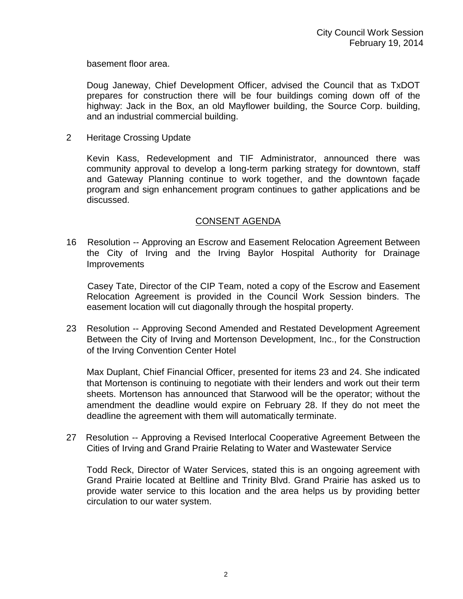basement floor area.

Doug Janeway, Chief Development Officer, advised the Council that as TxDOT prepares for construction there will be four buildings coming down off of the highway: Jack in the Box, an old Mayflower building, the Source Corp. building, and an industrial commercial building.

2 Heritage Crossing Update

Kevin Kass, Redevelopment and TIF Administrator, announced there was community approval to develop a long-term parking strategy for downtown, staff and Gateway Planning continue to work together, and the downtown façade program and sign enhancement program continues to gather applications and be discussed.

## CONSENT AGENDA

16 Resolution -- Approving an Escrow and Easement Relocation Agreement Between the City of Irving and the Irving Baylor Hospital Authority for Drainage **Improvements** 

 Casey Tate, Director of the CIP Team, noted a copy of the Escrow and Easement Relocation Agreement is provided in the Council Work Session binders. The easement location will cut diagonally through the hospital property.

23 Resolution -- Approving Second Amended and Restated Development Agreement Between the City of Irving and Mortenson Development, Inc., for the Construction of the Irving Convention Center Hotel

Max Duplant, Chief Financial Officer, presented for items 23 and 24. She indicated that Mortenson is continuing to negotiate with their lenders and work out their term sheets. Mortenson has announced that Starwood will be the operator; without the amendment the deadline would expire on February 28. If they do not meet the deadline the agreement with them will automatically terminate.

27 Resolution -- Approving a Revised Interlocal Cooperative Agreement Between the Cities of Irving and Grand Prairie Relating to Water and Wastewater Service

Todd Reck, Director of Water Services, stated this is an ongoing agreement with Grand Prairie located at Beltline and Trinity Blvd. Grand Prairie has asked us to provide water service to this location and the area helps us by providing better circulation to our water system.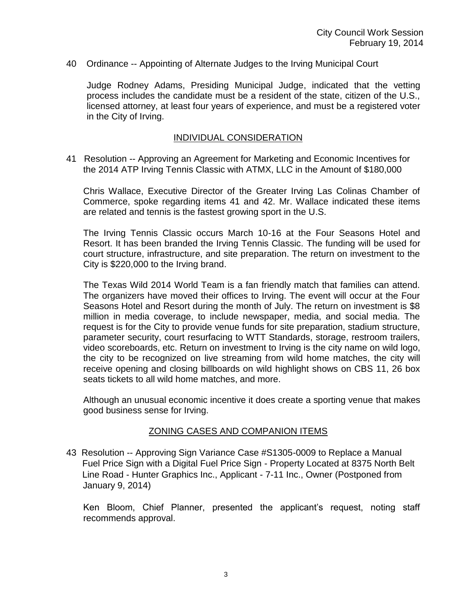40 Ordinance -- Appointing of Alternate Judges to the Irving Municipal Court

Judge Rodney Adams, Presiding Municipal Judge, indicated that the vetting process includes the candidate must be a resident of the state, citizen of the U.S., licensed attorney, at least four years of experience, and must be a registered voter in the City of Irving.

#### INDIVIDUAL CONSIDERATION

41 Resolution -- Approving an Agreement for Marketing and Economic Incentives for the 2014 ATP Irving Tennis Classic with ATMX, LLC in the Amount of \$180,000

Chris Wallace, Executive Director of the Greater Irving Las Colinas Chamber of Commerce, spoke regarding items 41 and 42. Mr. Wallace indicated these items are related and tennis is the fastest growing sport in the U.S.

The Irving Tennis Classic occurs March 10-16 at the Four Seasons Hotel and Resort. It has been branded the Irving Tennis Classic. The funding will be used for court structure, infrastructure, and site preparation. The return on investment to the City is \$220,000 to the Irving brand.

The Texas Wild 2014 World Team is a fan friendly match that families can attend. The organizers have moved their offices to Irving. The event will occur at the Four Seasons Hotel and Resort during the month of July. The return on investment is \$8 million in media coverage, to include newspaper, media, and social media. The request is for the City to provide venue funds for site preparation, stadium structure, parameter security, court resurfacing to WTT Standards, storage, restroom trailers, video scoreboards, etc. Return on investment to Irving is the city name on wild logo, the city to be recognized on live streaming from wild home matches, the city will receive opening and closing billboards on wild highlight shows on CBS 11, 26 box seats tickets to all wild home matches, and more.

Although an unusual economic incentive it does create a sporting venue that makes good business sense for Irving.

#### ZONING CASES AND COMPANION ITEMS

43 Resolution -- Approving Sign Variance Case #S1305-0009 to Replace a Manual Fuel Price Sign with a Digital Fuel Price Sign - Property Located at 8375 North Belt Line Road - Hunter Graphics Inc., Applicant - 7-11 Inc., Owner (Postponed from January 9, 2014)

Ken Bloom, Chief Planner, presented the applicant's request, noting staff recommends approval.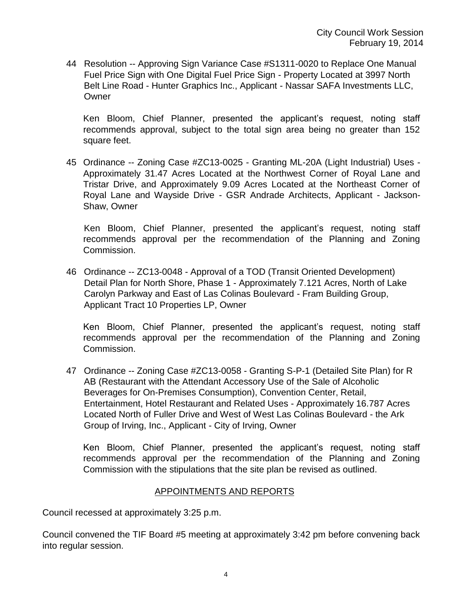44 Resolution -- Approving Sign Variance Case #S1311-0020 to Replace One Manual Fuel Price Sign with One Digital Fuel Price Sign - Property Located at 3997 North Belt Line Road - Hunter Graphics Inc., Applicant - Nassar SAFA Investments LLC, **Owner** 

Ken Bloom, Chief Planner, presented the applicant's request, noting staff recommends approval, subject to the total sign area being no greater than 152 square feet.

45 Ordinance -- Zoning Case #ZC13-0025 - Granting ML-20A (Light Industrial) Uses - Approximately 31.47 Acres Located at the Northwest Corner of Royal Lane and Tristar Drive, and Approximately 9.09 Acres Located at the Northeast Corner of Royal Lane and Wayside Drive - GSR Andrade Architects, Applicant - Jackson-Shaw, Owner

 Ken Bloom, Chief Planner, presented the applicant's request, noting staff recommends approval per the recommendation of the Planning and Zoning Commission.

46 Ordinance -- ZC13-0048 - Approval of a TOD (Transit Oriented Development) Detail Plan for North Shore, Phase 1 - Approximately 7.121 Acres, North of Lake Carolyn Parkway and East of Las Colinas Boulevard - Fram Building Group, Applicant Tract 10 Properties LP, Owner

Ken Bloom, Chief Planner, presented the applicant's request, noting staff recommends approval per the recommendation of the Planning and Zoning Commission.

47 Ordinance -- Zoning Case #ZC13-0058 - Granting S-P-1 (Detailed Site Plan) for R AB (Restaurant with the Attendant Accessory Use of the Sale of Alcoholic Beverages for On-Premises Consumption), Convention Center, Retail, Entertainment, Hotel Restaurant and Related Uses - Approximately 16.787 Acres Located North of Fuller Drive and West of West Las Colinas Boulevard - the Ark Group of Irving, Inc., Applicant - City of Irving, Owner

Ken Bloom, Chief Planner, presented the applicant's request, noting staff recommends approval per the recommendation of the Planning and Zoning Commission with the stipulations that the site plan be revised as outlined.

## APPOINTMENTS AND REPORTS

Council recessed at approximately 3:25 p.m.

Council convened the TIF Board #5 meeting at approximately 3:42 pm before convening back into regular session.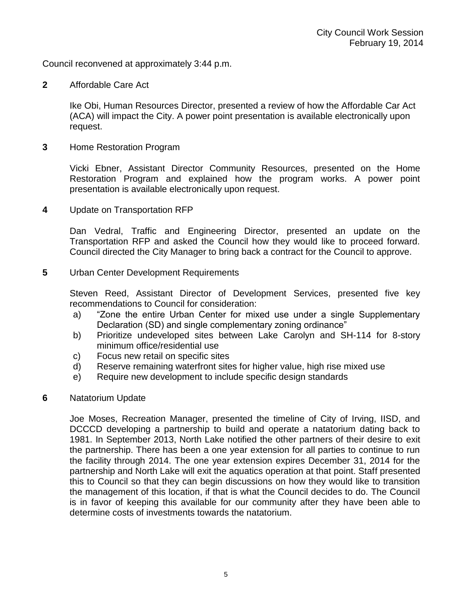Council reconvened at approximately 3:44 p.m.

**2** Affordable Care Act

Ike Obi, Human Resources Director, presented a review of how the Affordable Car Act (ACA) will impact the City. A power point presentation is available electronically upon request.

**3** Home Restoration Program

Vicki Ebner, Assistant Director Community Resources, presented on the Home Restoration Program and explained how the program works. A power point presentation is available electronically upon request.

**4** Update on Transportation RFP

Dan Vedral, Traffic and Engineering Director, presented an update on the Transportation RFP and asked the Council how they would like to proceed forward. Council directed the City Manager to bring back a contract for the Council to approve.

**5** Urban Center Development Requirements

Steven Reed, Assistant Director of Development Services, presented five key recommendations to Council for consideration:

- a) "Zone the entire Urban Center for mixed use under a single Supplementary Declaration (SD) and single complementary zoning ordinance"
- b) Prioritize undeveloped sites between Lake Carolyn and SH-114 for 8-story minimum office/residential use
- c) Focus new retail on specific sites
- d) Reserve remaining waterfront sites for higher value, high rise mixed use
- e) Require new development to include specific design standards
- **6** Natatorium Update

Joe Moses, Recreation Manager, presented the timeline of City of Irving, IISD, and DCCCD developing a partnership to build and operate a natatorium dating back to 1981. In September 2013, North Lake notified the other partners of their desire to exit the partnership. There has been a one year extension for all parties to continue to run the facility through 2014. The one year extension expires December 31, 2014 for the partnership and North Lake will exit the aquatics operation at that point. Staff presented this to Council so that they can begin discussions on how they would like to transition the management of this location, if that is what the Council decides to do. The Council is in favor of keeping this available for our community after they have been able to determine costs of investments towards the natatorium.